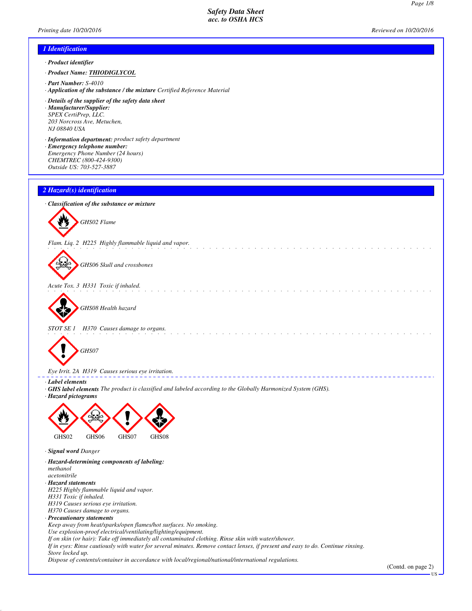*Page 1/8*

# *1 Identification*

- *· Product identifier*
- *· Product Name: THIODIGLYCOL*
- *· Part Number: S-4010*
- *· Application of the substance / the mixture Certified Reference Material*
- *· Details of the supplier of the safety data sheet · Manufacturer/Supplier: SPEX CertiPrep, LLC. 203 Norcross Ave, Metuchen, NJ 08840 USA*
- *· Information department: product safety department · Emergency telephone number: Emergency Phone Number (24 hours) CHEMTREC (800-424-9300)*
- *Outside US: 703-527-3887*

## *2 Hazard(s) identification*





*Flam. Liq. 2 H225 Highly flammable liquid and vapor.*



*GHS06 Skull and crossbones*

*Acute Tox. 3 H331 Toxic if inhaled.*



*GHS08 Health hazard*

*STOT SE 1 H370 Causes damage to organs.*



*Eye Irrit. 2A H319 Causes serious eye irritation.*

*· Label elements*

*· GHS label elements The product is classified and labeled according to the Globally Harmonized System (GHS).*

<u>. . . . . . . . . .</u>

<u> 2222222222</u>

*· Hazard pictograms*



- *· Signal word Danger*
- *· Hazard-determining components of labeling: methanol*
- *acetonitrile*
- *· Hazard statements*
- *H225 Highly flammable liquid and vapor. H331 Toxic if inhaled.*
- *H319 Causes serious eye irritation.*
- *H370 Causes damage to organs.*
- *· Precautionary statements*

*Keep away from heat/sparks/open flames/hot surfaces. No smoking.*

*Use explosion-proof electrical/ventilating/lighting/equipment.*

*If on skin (or hair): Take off immediately all contaminated clothing. Rinse skin with water/shower.*

*If in eyes: Rinse cautiously with water for several minutes. Remove contact lenses, if present and easy to do. Continue rinsing.*

*Store locked up. Dispose of contents/container in accordance with local/regional/national/international regulations.*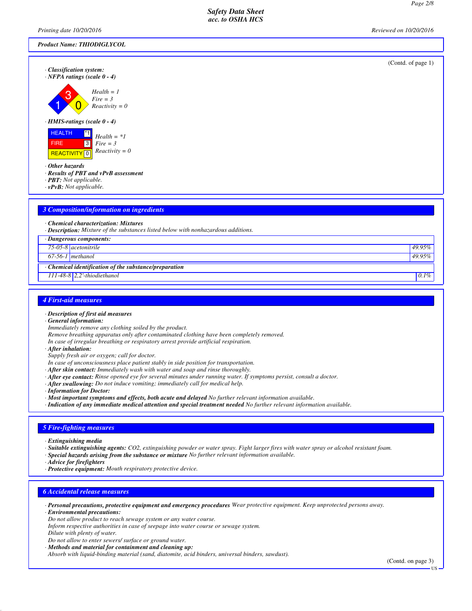*Printing date 10/20/2016 Reviewed on 10/20/2016*

| <b>Product Name: THIODIGLYCOL</b>                                                                                                                                |                    |
|------------------------------------------------------------------------------------------------------------------------------------------------------------------|--------------------|
| · Classification system:<br>$\cdot$ NFPA ratings (scale 0 - 4)<br>$Health = 1$<br>З<br>$Fire = 3$                                                                | (Contd. of page 1) |
| $Reactivity = 0$<br>$\cdot$ HMIS-ratings (scale 0 - 4)<br><b>HEALTH</b><br>$^*1$<br>$Health = *1$<br>$\sqrt{3}$<br><b>FIRE</b><br>$Fire = 3$<br>$Reactivity = 0$ |                    |
| REACTIVITY <sup>0</sup><br>$\cdot$ Other hazards<br>· Results of PBT and vPvB assessment<br>· PBT: Not applicable.<br>$\cdot$ vPvB: Not applicable.              |                    |
| $\sim$ $\sigma$<br>$\mathbf{r}$ , $\mathbf{r}$ and $\mathbf{r}$ and $\mathbf{r}$<br><b>Contract</b><br><b>Contract</b><br>$-11$                                  |                    |

# *3 Composition/information on ingredients*

*· Chemical characterization: Mixtures*

*· Description: Mixture of the substances listed below with nonhazardous additions.*

| · Dangerous components:                              |         |
|------------------------------------------------------|---------|
| $75-05-8$ acetonitrile                               | 49.95%  |
| $67-56-1$ methanol                                   | 49.95%  |
| Chemical identification of the substance/preparation |         |
| $111-48-8$ 2,2'-thiodiethanol                        | $0.1\%$ |
|                                                      |         |

## *4 First-aid measures*

- *· Description of first aid measures*
- *· General information:*
- *Immediately remove any clothing soiled by the product.*
- *Remove breathing apparatus only after contaminated clothing have been completely removed.*

*In case of irregular breathing or respiratory arrest provide artificial respiration.*

*· After inhalation:*

*Supply fresh air or oxygen; call for doctor.*

- *In case of unconsciousness place patient stably in side position for transportation.*
- *· After skin contact: Immediately wash with water and soap and rinse thoroughly.*
- *· After eye contact: Rinse opened eye for several minutes under running water. If symptoms persist, consult a doctor.*
- *· After swallowing: Do not induce vomiting; immediately call for medical help.*
- *· Information for Doctor:*

*· Most important symptoms and effects, both acute and delayed No further relevant information available.*

*· Indication of any immediate medical attention and special treatment needed No further relevant information available.*

## *5 Fire-fighting measures*

- *· Extinguishing media*
- *· Suitable extinguishing agents: CO2, extinguishing powder or water spray. Fight larger fires with water spray or alcohol resistant foam.*
- *· Special hazards arising from the substance or mixture No further relevant information available.*
- *· Advice for firefighters*
- *· Protective equipment: Mouth respiratory protective device.*

## *6 Accidental release measures*

*· Personal precautions, protective equipment and emergency procedures Wear protective equipment. Keep unprotected persons away.*

*· Environmental precautions:*

- *Do not allow product to reach sewage system or any water course.*
- *Inform respective authorities in case of seepage into water course or sewage system.*
- *Dilute with plenty of water.*
- *Do not allow to enter sewers/ surface or ground water.*
- *· Methods and material for containment and cleaning up:*

*Absorb with liquid-binding material (sand, diatomite, acid binders, universal binders, sawdust).*

(Contd. on page 3)

US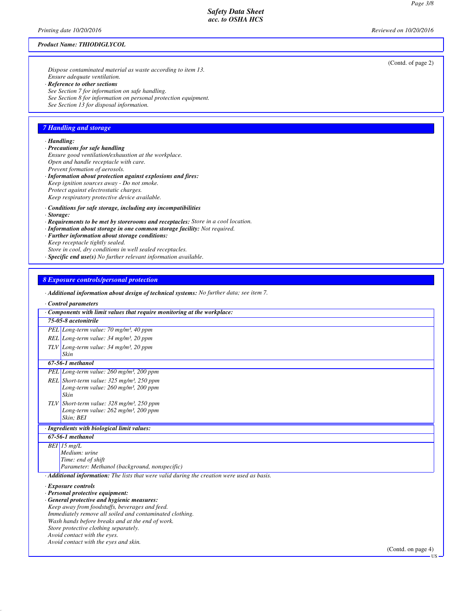#### *Product Name: THIODIGLYCOL*

*Dispose contaminated material as waste according to item 13. Ensure adequate ventilation.*

- *· Reference to other sections*
- *See Section 7 for information on safe handling.*
- *See Section 8 for information on personal protection equipment.*
- *See Section 13 for disposal information.*

## *7 Handling and storage*

# *· Handling:*

- *· Precautions for safe handling*
- *Ensure good ventilation/exhaustion at the workplace. Open and handle receptacle with care. Prevent formation of aerosols.*
- *· Information about protection against explosions and fires: Keep ignition sources away - Do not smoke.*
- *Protect against electrostatic charges.*
- *Keep respiratory protective device available.*
- *· Conditions for safe storage, including any incompatibilities*
- *· Storage:*
- *· Requirements to be met by storerooms and receptacles: Store in a cool location.*
- *· Information about storage in one common storage facility: Not required.*
- *· Further information about storage conditions:*
- *Keep receptacle tightly sealed.*
- *Store in cool, dry conditions in well sealed receptacles.*
- *· Specific end use(s) No further relevant information available.*

## *8 Exposure controls/personal protection*

*· Additional information about design of technical systems: No further data; see item 7.*

#### *· Control parameters*

|            | Components with limit values that require monitoring at the workplace:                                           |
|------------|------------------------------------------------------------------------------------------------------------------|
|            | 75-05-8 acetonitrile                                                                                             |
|            | PEL Long-term value: $70 \text{ mg/m}^3$ , 40 ppm                                                                |
|            | REL Long-term value: $34 \text{ mg/m}^3$ , $20 \text{ ppm}$                                                      |
|            | TLV Long-term value: 34 mg/m <sup>3</sup> , 20 ppm                                                               |
|            | Skin                                                                                                             |
|            | 67-56-1 methanol                                                                                                 |
|            | PEL Long-term value: 260 mg/m <sup>3</sup> , 200 ppm                                                             |
|            | REL Short-term value: 325 mg/m <sup>3</sup> , 250 ppm                                                            |
|            | Long-term value: $260$ mg/m <sup>3</sup> , $200$ ppm                                                             |
|            | Skin                                                                                                             |
| <b>TLV</b> | Short-term value: $328 \text{ mg/m}^3$ , $250 \text{ ppm}$<br>Long-term value: $262$ mg/m <sup>3</sup> , 200 ppm |
|            | Skin; BEI                                                                                                        |
|            | Ingredients with biological limit values:                                                                        |
|            | 67-56-1 methanol                                                                                                 |
|            | $BEI$ 15 mg/L                                                                                                    |
|            | Medium: urine                                                                                                    |
|            | Time: end of shift                                                                                               |
|            | Parameter: Methanol (background, nonspecific)                                                                    |
|            | <b>Additional information:</b> The lists that were valid during the creation were used as basis.                 |
|            | <b>Exposure controls</b>                                                                                         |
|            | Personal protective equipment:                                                                                   |
|            | General protective and hygienic measures:<br>Keep away from foodstuffs, beverages and feed.                      |
|            | Immediately remove all soiled and contaminated clothing.                                                         |
|            | Wash hands before breaks and at the end of work.                                                                 |
|            | Store protective clothing separately.                                                                            |
|            | Avoid contact with the eyes.                                                                                     |
|            | Avoid contact with the eyes and skin.<br>(Contd. on page $4$ )                                                   |

(Contd. of page 2)

US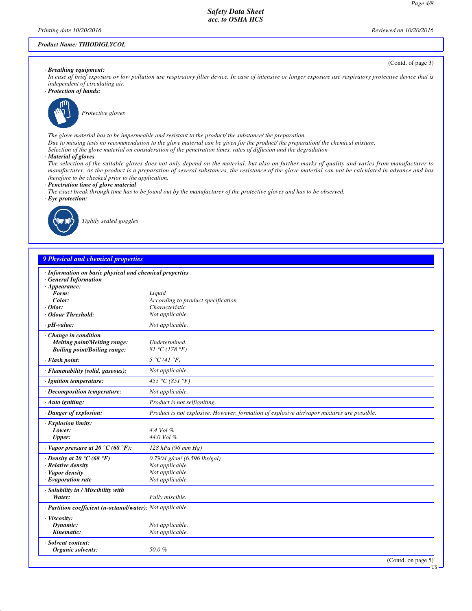(Contd. of page 3)

US

#### *Product Name: THIODIGLYCOL*

*· Breathing equipment:*

*In case of brief exposure or low pollution use respiratory filter device. In case of intensive or longer exposure use respiratory protective device that is independent of circulating air.*

*· Protection of hands:*



*Protective gloves*

*The glove material has to be impermeable and resistant to the product/ the substance/ the preparation.*

- *Due to missing tests no recommendation to the glove material can be given for the product/ the preparation/ the chemical mixture.*
- *Selection of the glove material on consideration of the penetration times, rates of diffusion and the degradation*
- *· Material of gloves*

*The selection of the suitable gloves does not only depend on the material, but also on further marks of quality and varies from manufacturer to manufacturer. As the product is a preparation of several substances, the resistance of the glove material can not be calculated in advance and has therefore to be checked prior to the application.*

- *· Penetration time of glove material*
- *The exact break through time has to be found out by the manufacturer of the protective gloves and has to be observed.*
- *· Eye protection:*



*Tightly sealed goggles*

# *9 Physical and chemical properties*

| · Information on basic physical and chemical properties<br><b>General Information</b><br>$\cdot$ Appearance: |                                                                                            |
|--------------------------------------------------------------------------------------------------------------|--------------------------------------------------------------------------------------------|
| Form:                                                                                                        | Liquid                                                                                     |
| Color:                                                                                                       | According to product specification                                                         |
| $\cdot$ Odor:                                                                                                | Characteristic                                                                             |
|                                                                                                              |                                                                                            |
| Odour Threshold:                                                                                             | Not applicable.                                                                            |
| $\cdot$ pH-value:                                                                                            | Not applicable.                                                                            |
| $\cdot$ Change in condition                                                                                  |                                                                                            |
| Melting point/Melting range:                                                                                 | Undetermined.                                                                              |
| <b>Boiling point/Boiling range:</b>                                                                          | 81 °C (178 °F)                                                                             |
| · Flash point:                                                                                               | $5 \degree C$ (41 $\degree F$ )                                                            |
| · Flammability (solid, gaseous):                                                                             | Not applicable.                                                                            |
| · Ignition temperature:                                                                                      | 455 °C (851 °F)                                                                            |
| · Decomposition temperature:                                                                                 | Not applicable.                                                                            |
| $\cdot$ Auto igniting:                                                                                       | Product is not selfigniting.                                                               |
| · Danger of explosion:                                                                                       | Product is not explosive. However, formation of explosive air/vapor mixtures are possible. |
| <b>Explosion limits:</b>                                                                                     |                                                                                            |
| Lower:                                                                                                       | 4.4 Vol %                                                                                  |
| Upper:                                                                                                       | 44.0 Vol %                                                                                 |
|                                                                                                              |                                                                                            |
| $\cdot$ Vapor pressure at 20 $\rm{^{\circ}C}$ (68 $\rm{^{\circ}F}$ ):                                        | $128$ hPa (96 mm Hg)                                                                       |
| $\cdot$ Density at 20 $\degree$ C (68 $\degree$ F)                                                           | $0.7904$ g/cm <sup>3</sup> (6.596 lbs/gal)                                                 |
| · Relative density                                                                                           | Not applicable.                                                                            |
| · Vapor density                                                                                              | Not applicable.                                                                            |
| $\cdot$ Evaporation rate                                                                                     | Not applicable.                                                                            |
|                                                                                                              |                                                                                            |
| · Solubility in / Miscibility with                                                                           |                                                                                            |
| Water:                                                                                                       | Fully miscible.                                                                            |
| · Partition coefficient (n-octanol/water): Not applicable.                                                   |                                                                                            |
| · Viscosity:                                                                                                 |                                                                                            |
| Dynamic:                                                                                                     | Not applicable.                                                                            |
| Kinematic:                                                                                                   | Not applicable.                                                                            |
|                                                                                                              |                                                                                            |
| · Solvent content:                                                                                           |                                                                                            |
| Organic solvents:                                                                                            | 50.0%                                                                                      |
|                                                                                                              |                                                                                            |
|                                                                                                              | (Contd. on page 5)                                                                         |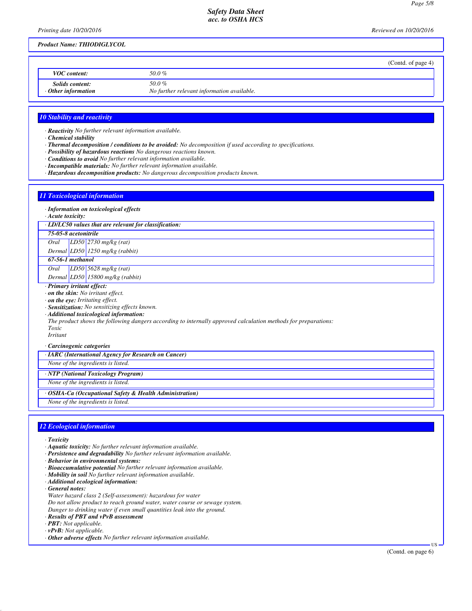*Printing date 10/20/2016 Reviewed on 10/20/2016*

## *Product Name: THIODIGLYCOL*

|                                                     |                                                      | (Contd. of page 4) |
|-----------------------------------------------------|------------------------------------------------------|--------------------|
| <b>VOC</b> content:                                 | 50.0 %                                               |                    |
| <b>Solids content:</b><br>$\cdot$ Other information | 50.0 %<br>No further relevant information available. |                    |

#### *10 Stability and reactivity*

*· Reactivity No further relevant information available.*

- *· Chemical stability*
- *· Thermal decomposition / conditions to be avoided: No decomposition if used according to specifications.*
- *· Possibility of hazardous reactions No dangerous reactions known.*
- *· Conditions to avoid No further relevant information available.*
- *· Incompatible materials: No further relevant information available.*
- *· Hazardous decomposition products: No dangerous decomposition products known.*

# *11 Toxicological information*

#### *· Information on toxicological effects*

*· Acute toxicity:*

*· LD/LC50 values that are relevant for classification:*

### *75-05-8 acetonitrile*

*Oral LD50 2730 mg/kg (rat)*

# *Dermal LD50 1250 mg/kg (rabbit)*

*67-56-1 methanol*

# *Oral LD50 5628 mg/kg (rat) Dermal LD50 15800 mg/kg (rabbit)*

# *· Primary irritant effect:*

*· on the skin: No irritant effect.*

*· on the eye: Irritating effect.*

*· Sensitization: No sensitizing effects known.*

*· Additional toxicological information:*

# *The product shows the following dangers according to internally approved calculation methods for preparations:*

*Toxic Irritant*

*· Carcinogenic categories*

*· IARC (International Agency for Research on Cancer)*

*None of the ingredients is listed.*

*· NTP (National Toxicology Program)*

*None of the ingredients is listed.*

*· OSHA-Ca (Occupational Safety & Health Administration)*

*None of the ingredients is listed.*

#### *12 Ecological information*

- *· Toxicity*
- *· Aquatic toxicity: No further relevant information available.*
- *· Persistence and degradability No further relevant information available.*
- *· Behavior in environmental systems:*
- *· Bioaccumulative potential No further relevant information available.*
- *· Mobility in soil No further relevant information available.*
- *· Additional ecological information:*
- *· General notes:*
- *Water hazard class 2 (Self-assessment): hazardous for water*
- *Do not allow product to reach ground water, water course or sewage system.*
- *Danger to drinking water if even small quantities leak into the ground.*
- *· Results of PBT and vPvB assessment*
- *· PBT: Not applicable.*
- *· vPvB: Not applicable.*
- *· Other adverse effects No further relevant information available.*

US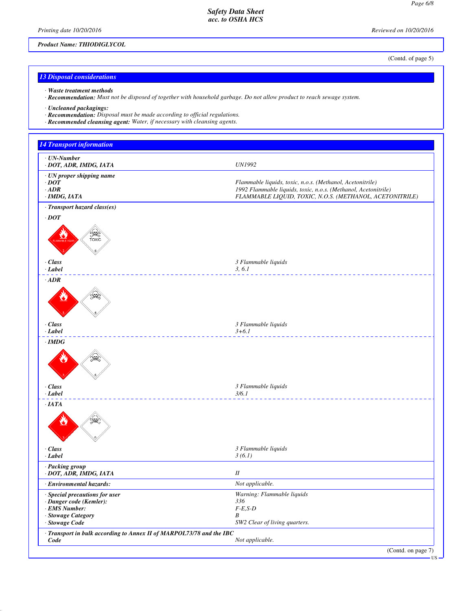*Printing date 10/20/2016 Reviewed on 10/20/2016*

# *Product Name: THIODIGLYCOL*

(Contd. of page 5)

# *13 Disposal considerations*

- *· Waste treatment methods*
- *· Recommendation: Must not be disposed of together with household garbage. Do not allow product to reach sewage system.*

*· Uncleaned packagings:*

*· Recommendation: Disposal must be made according to official regulations.*

*· Recommended cleansing agent: Water, if necessary with cleansing agents.*

| <b>14 Transport information</b>                                      |                                                                                                                             |
|----------------------------------------------------------------------|-----------------------------------------------------------------------------------------------------------------------------|
| · UN-Number                                                          |                                                                                                                             |
| · DOT, ADR, IMDG, IATA                                               | <b>UN1992</b>                                                                                                               |
| · UN proper shipping name                                            |                                                                                                                             |
| $\cdot$ DOT<br>$\cdot$ ADR                                           | Flammable liquids, toxic, n.o.s. (Methanol, Acetonitrile)<br>1992 Flammable liquids, toxic, n.o.s. (Methanol, Acetonitrile) |
| $·$ IMDG, IATA                                                       | FLAMMABLE LIQUID, TOXIC, N.O.S. (METHANOL, ACETONITRILE)                                                                    |
| · Transport hazard class(es)                                         |                                                                                                                             |
| $\cdot$ DOT                                                          |                                                                                                                             |
| <b>SEE</b>                                                           |                                                                                                                             |
| $\cdot$ Class<br>$-Label$                                            | 3 Flammable liquids<br>3, 6.1                                                                                               |
| $\cdot$ ADR                                                          |                                                                                                                             |
| ₩                                                                    |                                                                                                                             |
| $\cdot$ Class<br>$-Label$                                            | 3 Flammable liquids<br>$3 + 6.1$<br><u> - - - - - - - - - - - -</u>                                                         |
| $\cdot$ IMDG                                                         |                                                                                                                             |
|                                                                      |                                                                                                                             |
| $\cdot$ Class<br>$-Label$                                            | 3 Flammable liquids<br>3/6.1                                                                                                |
|                                                                      | <u> 22222222222</u>                                                                                                         |
| $\cdot$ IATA                                                         |                                                                                                                             |
| $\cdot$ Class<br>$-Label$                                            | 3 Flammable liquids<br>3(6.1)                                                                                               |
| · Packing group<br>· DOT, ADR, IMDG, IATA                            | $I\!I$                                                                                                                      |
| Environmental hazards:                                               | Not applicable.                                                                                                             |
| · Special precautions for user                                       | Warning: Flammable liquids                                                                                                  |
| · Danger code (Kemler):                                              | 336                                                                                                                         |
| · EMS Number:<br>· Stowage Category                                  | $F-E,S-D$<br>B                                                                                                              |
| · Stowage Code                                                       | SW2 Clear of living quarters.                                                                                               |
| · Transport in bulk according to Annex II of MARPOL73/78 and the IBC |                                                                                                                             |
| Code                                                                 | Not applicable.                                                                                                             |
|                                                                      | (Contd. on page 7)<br>$\cdot$ US -                                                                                          |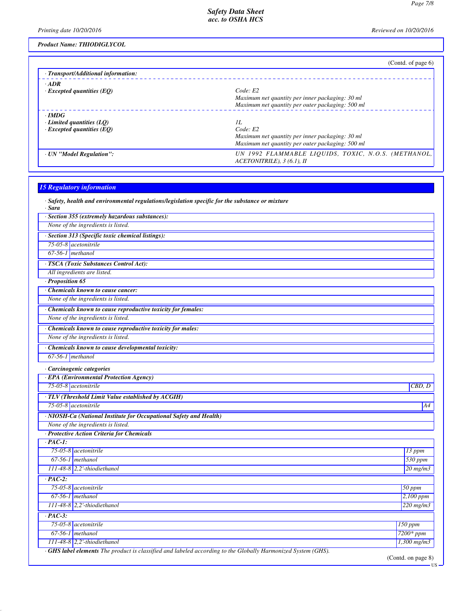*Printing date 10/20/2016 Reviewed on 10/20/2016*

*Product Name: THIODIGLYCOL*

|                                                 | (Contd. of page $6$ )                                                                |
|-------------------------------------------------|--------------------------------------------------------------------------------------|
| · Transport/Additional information:             |                                                                                      |
| $\cdot$ ADR<br>$\cdot$ Excepted quantities (EQ) | Code: E2<br>Maximum net quantity per inner packaging: 30 ml                          |
|                                                 | Maximum net quantity per outer packaging: 500 ml                                     |
| $\cdot$ IMDG                                    |                                                                                      |
| Limited quantities $(LQ)$                       | IL                                                                                   |
| $\cdot$ Excepted quantities (EO)                | Code: E2                                                                             |
|                                                 | Maximum net quantity per inner packaging: 30 ml                                      |
|                                                 | Maximum net quantity per outer packaging: 500 ml                                     |
| · UN "Model Regulation":                        | UN 1992 FLAMMABLE LIQUIDS, TOXIC, N.O.S. (METHANOL,<br>$ACETONITRILE$ ), 3 (6.1), II |
|                                                 |                                                                                      |

| <b>15 Regulatory information</b>                                                                       |                  |
|--------------------------------------------------------------------------------------------------------|------------------|
| $\cdot$ Safety, health and environmental regulations/legislation specific for the substance or mixture |                  |
| · Sara                                                                                                 |                  |
| · Section 355 (extremely hazardous substances):                                                        |                  |
| None of the ingredients is listed.                                                                     |                  |
| · Section 313 (Specific toxic chemical listings):                                                      |                  |
| 75-05-8 acetonitrile                                                                                   |                  |
| $67-56-1$ methanol                                                                                     |                  |
| · TSCA (Toxic Substances Control Act):                                                                 |                  |
| All ingredients are listed.                                                                            |                  |
| $\cdot$ Proposition 65                                                                                 |                  |
| · Chemicals known to cause cancer:                                                                     |                  |
| None of the ingredients is listed.                                                                     |                  |
| · Chemicals known to cause reproductive toxicity for females:                                          |                  |
| None of the ingredients is listed.                                                                     |                  |
| · Chemicals known to cause reproductive toxicity for males:                                            |                  |
| None of the ingredients is listed.                                                                     |                  |
| Chemicals known to cause developmental toxicity:                                                       |                  |
| $67-56-1$ methanol                                                                                     |                  |
|                                                                                                        |                  |
| · Carcinogenic categories                                                                              |                  |
| · EPA (Environmental Protection Agency)                                                                |                  |
| 75-05-8 acetonitrile                                                                                   | CBD, D           |
| · TLV (Threshold Limit Value established by ACGIH)                                                     |                  |
| $75-05-8$ acetonitrile                                                                                 | A4               |
| · NIOSH-Ca (National Institute for Occupational Safety and Health)                                     |                  |
| None of the ingredients is listed.                                                                     |                  |
| · Protective Action Criteria for Chemicals                                                             |                  |
| $PAC-I$ :                                                                                              |                  |
| $75-05-8$ <i>acetonitrile</i>                                                                          | 13 ppm           |
| $67-56-1$ methanol                                                                                     | $530$ ppm        |
| $111-48-8$ 2,2'-thiodiethanol                                                                          | $20$ mg/m $3$    |
| $PAC-2$ :                                                                                              |                  |
| $75-05-8$ acetonitrile                                                                                 | 50 ppm           |
| $67-56-1$ methanol                                                                                     | 2,100 ppm        |
| $111-48-8$ 2,2'-thiodiethanol                                                                          | $220$ mg/m $3$   |
| $\cdot$ PAC-3:                                                                                         |                  |
| $75-05-8$ <i>acetonitrile</i>                                                                          | <b>150 ppm</b>   |
| $67-56-1$ methanol                                                                                     | $7200*ppm$       |
|                                                                                                        |                  |
| $111-48-8$ 2,2'-thiodiethanol                                                                          | $1,300$ mg/m $3$ |